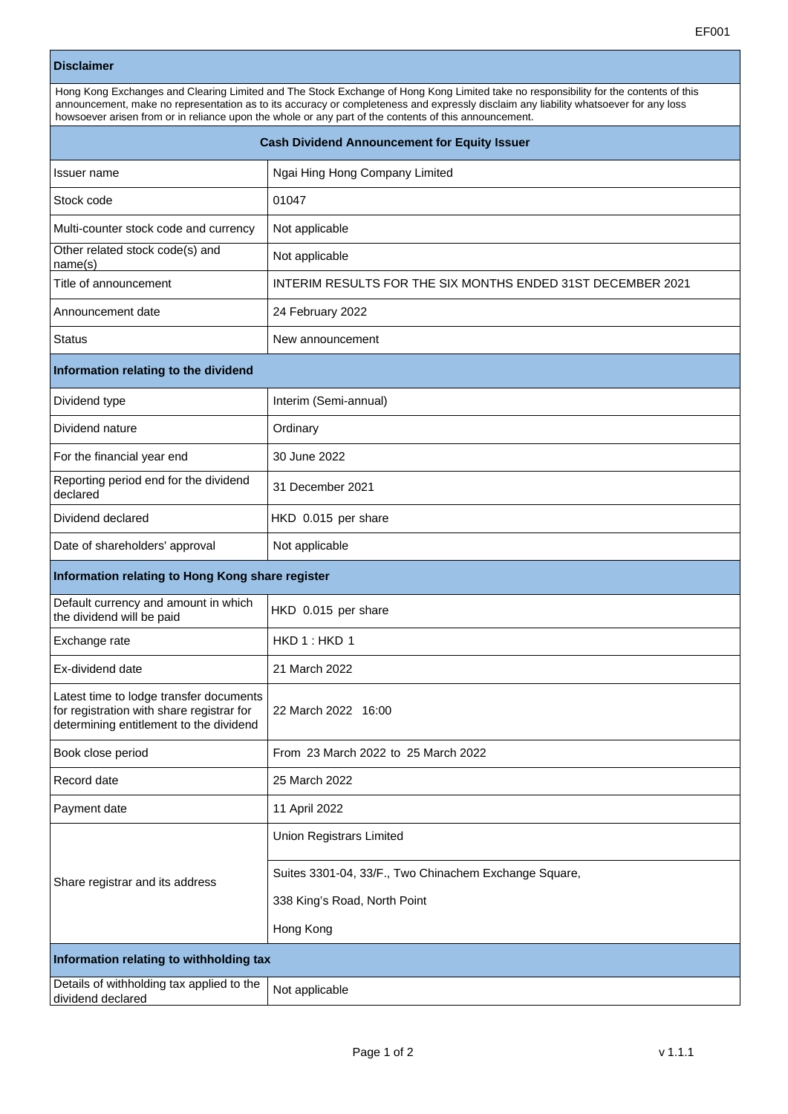## **Disclaimer**

| Hong Kong Exchanges and Clearing Limited and The Stock Exchange of Hong Kong Limited take no responsibility for the contents of this |  |
|--------------------------------------------------------------------------------------------------------------------------------------|--|
| announcement, make no representation as to its accuracy or completeness and expressly disclaim any liability whatsoever for any loss |  |
| howsoever arisen from or in reliance upon the whole or any part of the contents of this announcement.                                |  |
|                                                                                                                                      |  |

| <b>Cash Dividend Announcement for Equity Issuer</b>                                                                             |                                                             |  |
|---------------------------------------------------------------------------------------------------------------------------------|-------------------------------------------------------------|--|
| Issuer name                                                                                                                     | Ngai Hing Hong Company Limited                              |  |
| Stock code                                                                                                                      | 01047                                                       |  |
| Multi-counter stock code and currency                                                                                           | Not applicable                                              |  |
| Other related stock code(s) and<br>name(s)                                                                                      | Not applicable                                              |  |
| Title of announcement                                                                                                           | INTERIM RESULTS FOR THE SIX MONTHS ENDED 31ST DECEMBER 2021 |  |
| Announcement date                                                                                                               | 24 February 2022                                            |  |
| <b>Status</b>                                                                                                                   | New announcement                                            |  |
| Information relating to the dividend                                                                                            |                                                             |  |
| Dividend type                                                                                                                   | Interim (Semi-annual)                                       |  |
| Dividend nature                                                                                                                 | Ordinary                                                    |  |
| For the financial year end                                                                                                      | 30 June 2022                                                |  |
| Reporting period end for the dividend<br>declared                                                                               | 31 December 2021                                            |  |
| Dividend declared                                                                                                               | HKD 0.015 per share                                         |  |
| Date of shareholders' approval                                                                                                  | Not applicable                                              |  |
| Information relating to Hong Kong share register                                                                                |                                                             |  |
| Default currency and amount in which<br>the dividend will be paid                                                               | HKD 0.015 per share                                         |  |
| Exchange rate                                                                                                                   | HKD 1: HKD 1                                                |  |
| Ex-dividend date                                                                                                                | 21 March 2022                                               |  |
| Latest time to lodge transfer documents<br>for registration with share registrar for<br>determining entitlement to the dividend | 22 March 2022 16:00                                         |  |
| Book close period                                                                                                               | From 23 March 2022 to 25 March 2022                         |  |
| Record date                                                                                                                     | 25 March 2022                                               |  |
| Payment date                                                                                                                    | 11 April 2022                                               |  |
| Share registrar and its address                                                                                                 | Union Registrars Limited                                    |  |
|                                                                                                                                 | Suites 3301-04, 33/F., Two Chinachem Exchange Square,       |  |
|                                                                                                                                 | 338 King's Road, North Point                                |  |
|                                                                                                                                 | Hong Kong                                                   |  |
| Information relating to withholding tax                                                                                         |                                                             |  |
| Details of withholding tax applied to the<br>dividend declared                                                                  | Not applicable                                              |  |